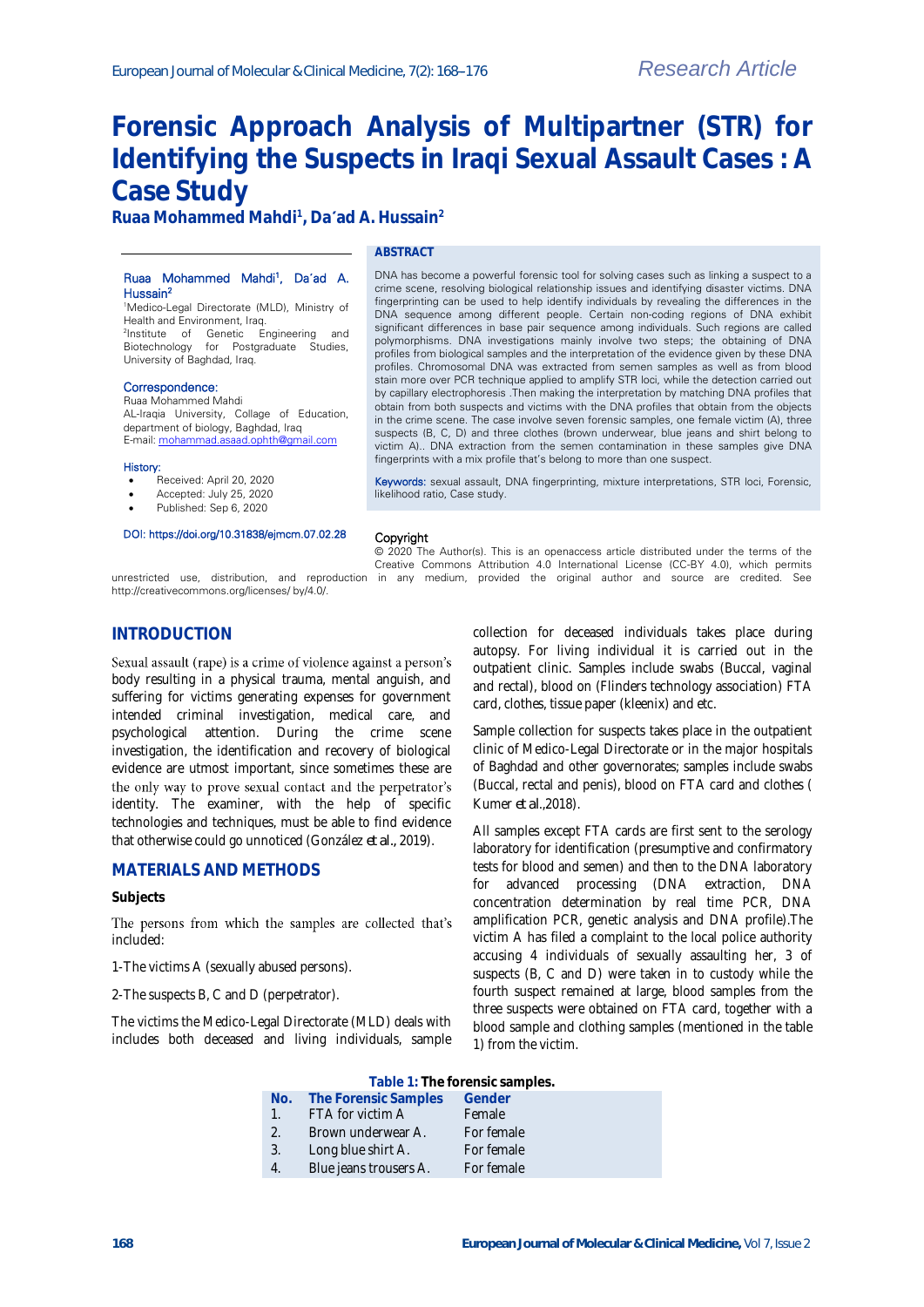# **Forensic Approach Analysis of Multipartner (STR) for Identifying the Suspects in Iraqi Sexual Assault Cases : A Case Study**

**Ruaa Mohammed Mahdi<sup>1</sup> , Da ad A. Hussain<sup>2</sup>**

#### Ruaa Mohammed Mahdi<sup>1</sup> , Da**΄**ad A. Hussain<sup>2</sup>

## **ABSTRACT**

<sup>1</sup>Medico-Legal Directorate (MLD), Ministry of Health and Environment, Iraq. 2 Institute of Genetic Engineering and Biotechnology for Postgraduate Studies, University of Baghdad, Iraq.

#### Correspondence:

**INTRODUCTION**

Ruaa Mohammed Mahdi AL-Iraqia University, Collage of Education, department of biology, Baghdad, Iraq E-mail[: mohammad.asaad.ophth@gmail.com](mailto:mohammad.asaad.ophth@gmail.com)

#### History:

- Received: April 20, 2020
- Accepted: July 25, 2020
- Published: Sep 6, 2020

#### DOI: https://doi.org/10.31838/ejmcm.07.02.28

DNA sequence among different people. Certain non-coding regions of DNA exhibit significant differences in base pair sequence among individuals. Such regions are called polymorphisms. DNA investigations mainly involve two steps; the obtaining of DNA profiles from biological samples and the interpretation of the evidence given by these DNA profiles. Chromosomal DNA was extracted from semen samples as well as from blood stain more over PCR technique applied to amplify STR loci, while the detection carried out by capillary electrophoresis .Then making the interpretation by matching DNA profiles that obtain from both suspects and victims with the DNA profiles that obtain from the objects in the crime scene. The case involve seven forensic samples, one female victim (A), three suspects (B, C, D) and three clothes (brown underwear, blue jeans and shirt belong to victim A).. DNA extraction from the semen contamination in these samples give DNA fingerprints with a mix profile that's belong to more than one suspect.

DNA has become a powerful forensic tool for solving cases such as linking a suspect to a crime scene, resolving biological relationship issues and identifying disaster victims. DNA fingerprinting can be used to help identify individuals by revealing the differences in the

Keywords: sexual assault, DNA fingerprinting, mixture interpretations, STR loci, Forensic, likelihood ratio, Case study.

Creative Commons Attribution 4.0 International License (CC-BY 4.0), which permits

#### Copyright © 2020 The Author(s). This is an openaccess article distributed under the terms of the

unrestricted use, distribution, and reproduction in any medium, provided the original author and source are credited. See http://creativecommons.org/licenses/ by/4.0/.

body resulting in a physical trauma, mental anguish, and suffering for victims generating expenses for government intended criminal investigation, medical care, and psychological attention. During the crime scene investigation, the identification and recovery of biological evidence are utmost important, since sometimes these are

Sexual assault (rape) is a crime of violence against a person's

identity. The examiner, with the help of specific technologies and techniques, must be able to find evidence that otherwise could go unnoticed (González *et al.,* 2019).

the only way to prove sexual contact and the perpetrator's

The victims the Medico-Legal Directorate (MLD) deals with includes both deceased and living individuals, sample

The persons from which the samples are collected that's

**MATERIALS AND METHODS**

1-The victims A (sexually abused persons). 2-The suspects B, C and D (perpetrator).

**Subjects**

included:

collection for deceased individuals takes place during autopsy. For living individual it is carried out in the outpatient clinic. Samples include swabs (Buccal, vaginal and rectal), blood on (Flinders technology association) FTA card, clothes, tissue paper (kleenix) and etc.

Sample collection for suspects takes place in the outpatient clinic of Medico-Legal Directorate or in the major hospitals of Baghdad and other governorates; samples include swabs (Buccal, rectal and penis), blood on FTA card and clothes ( Kumer *et al*.,2018).

All samples except FTA cards are first sent to the serology laboratory for identification (presumptive and confirmatory tests for blood and semen) and then to the DNA laboratory for advanced processing (DNA extraction, DNA concentration determination by real time PCR, DNA amplification PCR, genetic analysis and DNA profile).The victim A has filed a complaint to the local police authority accusing 4 individuals of sexually assaulting her, 3 of suspects (B, C and D) were taken in to custody while the fourth suspect remained at large, blood samples from the three suspects were obtained on FTA card, together with a blood sample and clothing samples (mentioned in the table 1) from the victim.

|     |                             | Table 1: The forensic samples. |  |
|-----|-----------------------------|--------------------------------|--|
| No. | The Forensic Samples Gender |                                |  |

- 1. FTA for victim A Female
- 2. Brown underwear A. For female
- 3. Long blue shirt A. For female
- 4. Blue jeans trousers A. For female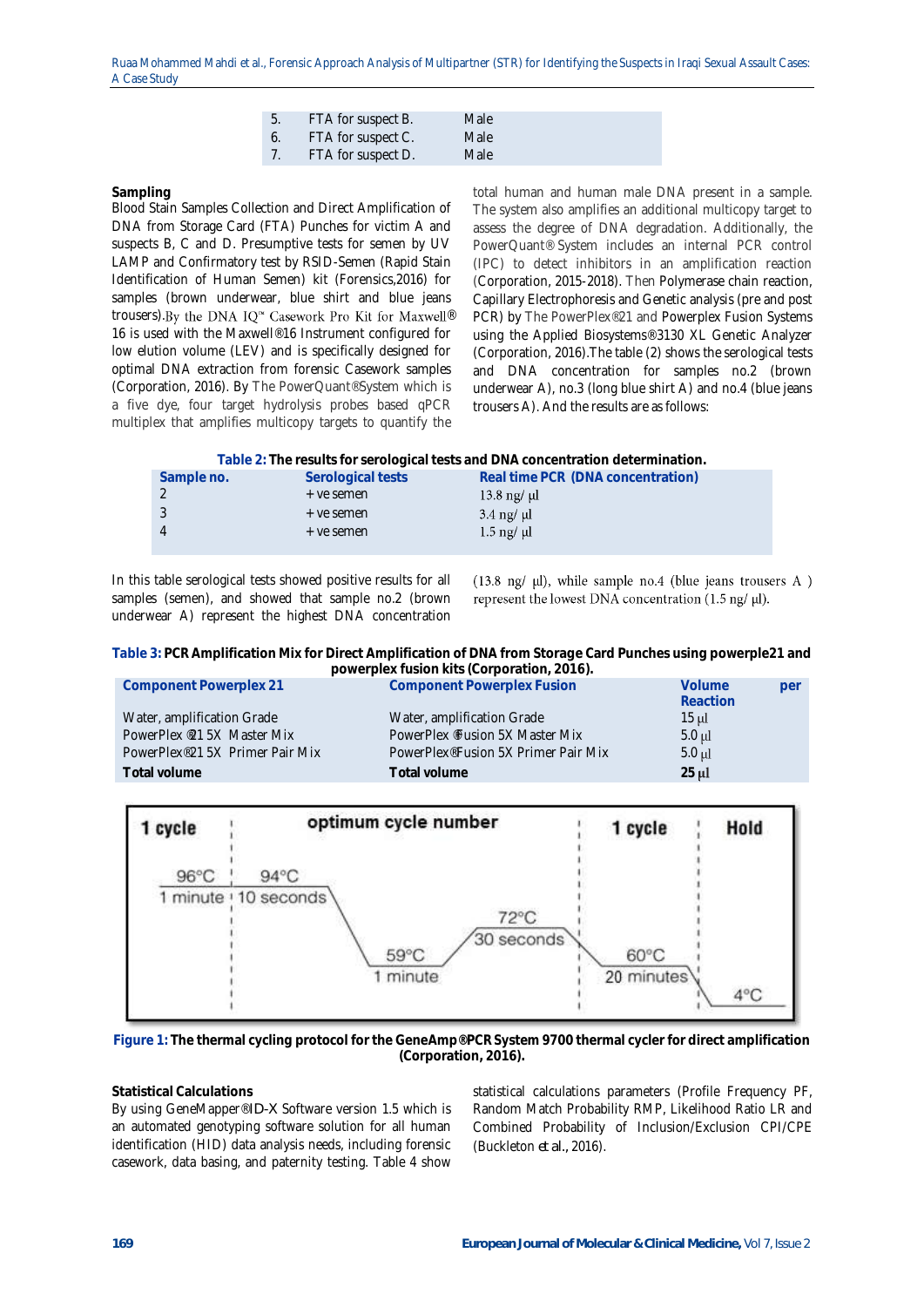| 5. | <b>EXAMPLE FTA for suspect B.</b> | Male |
|----|-----------------------------------|------|
|    | FTA for suspect C.                | Male |
|    | 7. FTA for suspect D.             | Male |

#### **Sampling**

Blood Stain Samples Collection and Direct Amplification of DNA from Storage Card (FTA) Punches for victim A and suspects B, C and D. Presumptive tests for semen by UV LAMP and Confirmatory test by RSID-Semen (Rapid Stain Identification of Human Semen) kit (Forensics,2016) for samples (brown underwear, blue shirt and blue jeans trousers). By the DNA IQ<sup>™</sup> Casework Pro Kit for Maxwell® 16 is used with the Maxwell® 16 Instrument configured for low elution volume (LEV) and is specifically designed for optimal DNA extraction from forensic Casework samples (Corporation, 2016). By The PowerQuant® System which is a five dye, four target hydrolysis probes based qPCR multiplex that amplifies multicopy targets to quantify the

total human and human male DNA present in a sample. The system also amplifies an additional multicopy target to assess the degree of DNA degradation. Additionally, the PowerQuant® System includes an internal PCR control (IPC) to detect inhibitors in an amplification reaction (Corporation, 2015-2018). Then Polymerase chain reaction, Capillary Electrophoresis and Genetic analysis (pre and post PCR) by The PowerPlex® 21 and Powerplex Fusion Systems using the Applied Biosystems® 3130 XL Genetic Analyzer (Corporation, 2016).The table (2) shows the serological tests and DNA concentration for samples no.2 (brown underwear A), no.3 (long blue shirt A) and no.4 (blue jeans trousers A). And the results are as follows:

| Table 2: The results for serological tests and DNA concentration determination. |  |  |
|---------------------------------------------------------------------------------|--|--|
|                                                                                 |  |  |

| Sample no. | Serological tests | Real time PCR (DNA concentration) |
|------------|-------------------|-----------------------------------|
|            | + ye semen        | $13.8 \text{ ng}/ \text{ µl}$     |
|            | + ye semen        | $3.4 \text{ ng}/ \text{ µ}$       |
|            | + ye semen        | $1.5 \text{ ng}/ \mu$             |
|            |                   |                                   |

In this table serological tests showed positive results for all samples (semen), and showed that sample no.2 (brown underwear A) represent the highest DNA concentration

(13.8 ng/ $\mu$ l), while sample no.4 (blue jeans trousers A) represent the lowest DNA concentration (1.5 ng/ $\mu$ l).

**Table 3: PCR Amplification Mix for Direct Amplification of DNA from Storage Card Punches using powerple21 and powerplex fusion kits (Corporation, 2016).**

| Component Powerplex 21                       | Component Powerplex Fusion                       | <b>Volume</b><br>Reaction | per |
|----------------------------------------------|--------------------------------------------------|---------------------------|-----|
| Water, amplification Grade                   | Water, amplification Grade                       | 15 µl                     |     |
| PowerPlex <sup>®</sup> 21.5X Master Mix      | PowerPlex <sup>®</sup> Fusion 5X Master Mix      | $5.0 \mu l$               |     |
| PowerPlex <sup>®</sup> 21.5X Primer Pair Mix | PowerPlex <sup>®</sup> Fusion 5X Primer Pair Mix | $5.0 \mathrm{ul}$         |     |
| Total volume                                 | Total volume                                     | $25 \mu$                  |     |



**Figure 1: The thermal cycling protocol for the GeneAmp® PCR System 9700 thermal cycler for direct amplification (Corporation, 2016).**

## **Statistical Calculations**

By using GeneMapper® *ID-X* Software version 1.5 which is an automated genotyping software solution for all human identification (HID) data analysis needs, including forensic casework, data basing, and paternity testing. Table 4 show

statistical calculations parameters (Profile Frequency PF, Random Match Probability RMP, Likelihood Ratio LR and Combined Probability of Inclusion/Exclusion CPI/CPE (Buckleton *et al.,* 2016).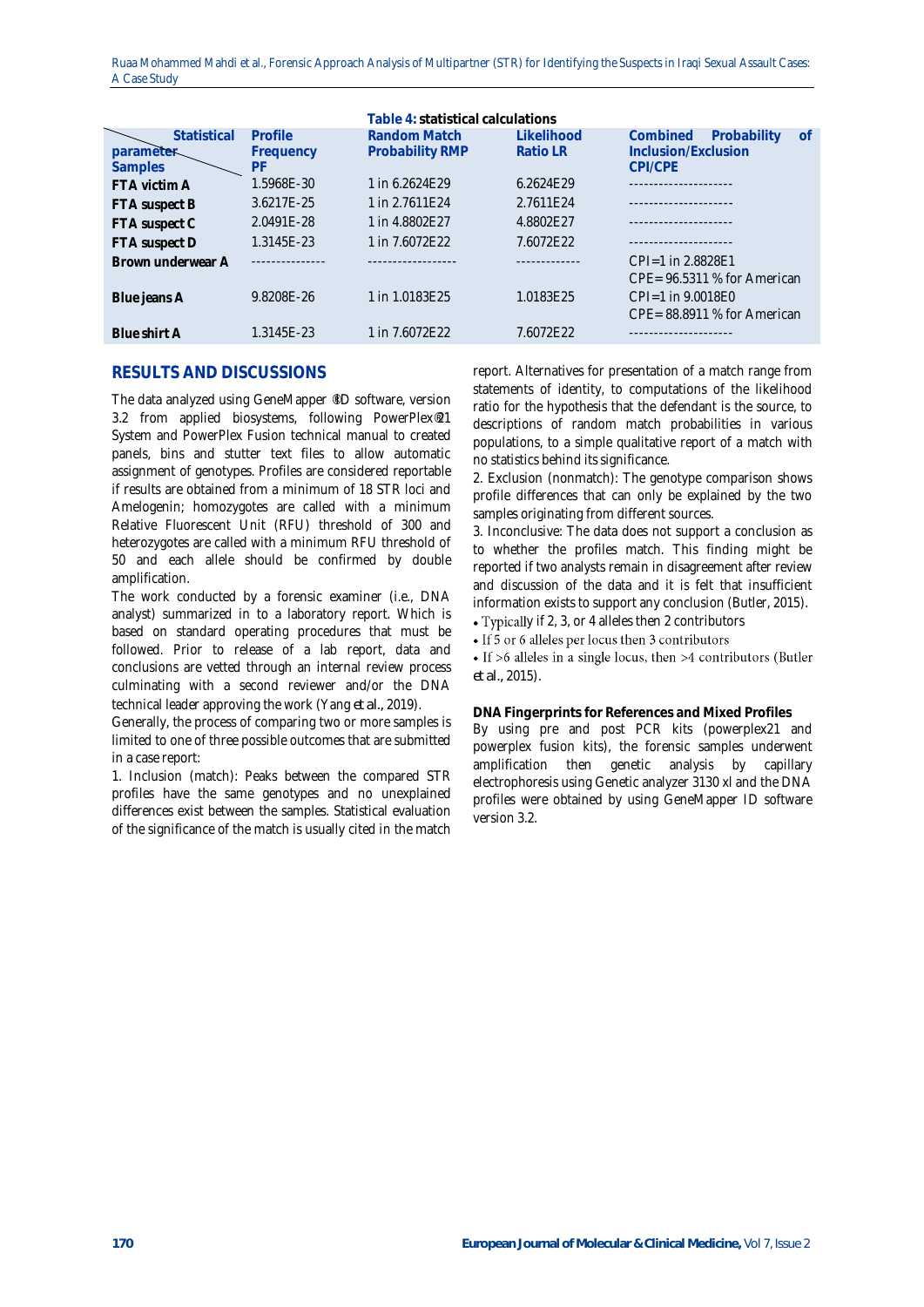|                   |            | Table 4: statistical calculations |                |                                      |  |  |  |  |
|-------------------|------------|-----------------------------------|----------------|--------------------------------------|--|--|--|--|
| Statistical       | Profile    | Random Match                      | Likelihood     | Combined<br>Probability<br><b>of</b> |  |  |  |  |
| parameter         | Frequency  | Probability RMP                   | <b>RatioLR</b> | Inclusion/Exclusion                  |  |  |  |  |
| <b>Samples</b>    | РF         |                                   |                | CPI/CPF                              |  |  |  |  |
| FTA victim A      | 1.5968E-30 | 1 in 6.2624F29                    | 6.2624F29      |                                      |  |  |  |  |
| FTA suspect B     | 3.6217F-25 | 1 in 2.7611F24                    | 2.7611F24      |                                      |  |  |  |  |
| FTA suspect C     | 2.0491F-28 | 1 in 4,8802F27                    | 4.8802F27      | ----------------                     |  |  |  |  |
| FTA suspect D     | 1.3145E-23 | 1 in 7.6072E22                    | 7.6072E22      | .                                    |  |  |  |  |
| Brown underwear A |            |                                   |                | CPI=1 in 2.8828E1                    |  |  |  |  |
|                   |            |                                   |                | $CPE = 96.5311$ % for American       |  |  |  |  |
| Blue jeans A      | 9.8208F-26 | 1 in 1.0183E25                    | 1.0183E25      | CPI=1 in 9.0018E0                    |  |  |  |  |
|                   |            |                                   |                | CPE=88.8911 % for American           |  |  |  |  |
| Blue shirt A      | 1.3145E-23 | 1 in 7.6072E22                    | 7.6072E22      |                                      |  |  |  |  |
|                   |            |                                   |                |                                      |  |  |  |  |

## **RESULTS AND DISCUSSIONS**

The data analyzed using GeneMapper ®ID software, version 3.2 from applied biosystems, following PowerPlex®21 System and PowerPlex Fusion technical manual to created panels, bins and stutter text files to allow automatic assignment of genotypes. Profiles are considered reportable if results are obtained from a minimum of 18 STR loci and Amelogenin; homozygotes are called with a minimum Relative Fluorescent Unit (RFU) threshold of 300 and heterozygotes are called with a minimum RFU threshold of 50 and each allele should be confirmed by double amplification.

The work conducted by a forensic examiner (i.e., DNA analyst) summarized in to a laboratory report. Which is based on standard operating procedures that must be followed. Prior to release of a lab report, data and conclusions are vetted through an internal review process culminating with a second reviewer and/or the DNA technical leader approving the work (Yang *et al.,* 2019).

Generally, the process of comparing two or more samples is limited to one of three possible outcomes that are submitted in a case report:

1. Inclusion (match): Peaks between the compared STR profiles have the same genotypes and no unexplained differences exist between the samples. Statistical evaluation of the significance of the match is usually cited in the match

report. Alternatives for presentation of a match range from statements of identity, to computations of the likelihood ratio for the hypothesis that the defendant is the source, to descriptions of random match probabilities in various populations, to a simple qualitative report of a match with no statistics behind its significance.

2. Exclusion (nonmatch): The genotype comparison shows profile differences that can only be explained by the two samples originating from different sources.

3. Inconclusive: The data does not support a conclusion as to whether the profiles match. This finding might be reported if two analysts remain in disagreement after review and discussion of the data and it is felt that insufficient information exists to support any conclusion (Butler, 2015).

• Typically if 2, 3, or 4 alleles then 2 contributors

• If 5 or 6 alleles per locus then 3 contributors

• If  $>6$  alleles in a single locus, then  $>4$  contributors (Butler *et al.,* 2015).

**DNA Fingerprints for References and Mixed Profiles** By using pre and post PCR kits (powerplex21 and powerplex fusion kits), the forensic samples underwent amplification then genetic analysis by capillary electrophoresis using Genetic analyzer 3130 xl and the DNA profiles were obtained by using GeneMapper ID software version 3.2.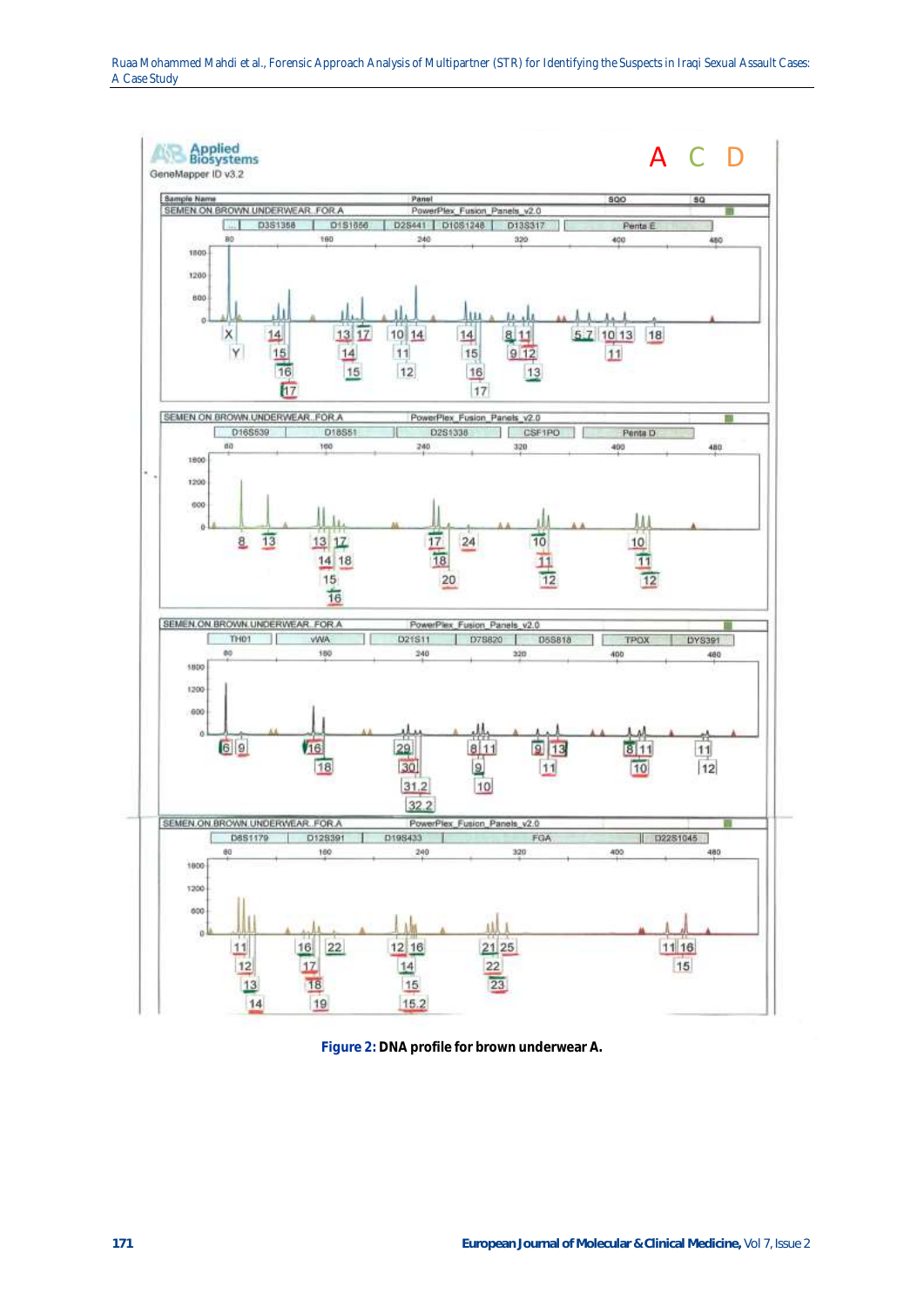

**Figure 2: DNA profile for brown underwear A.**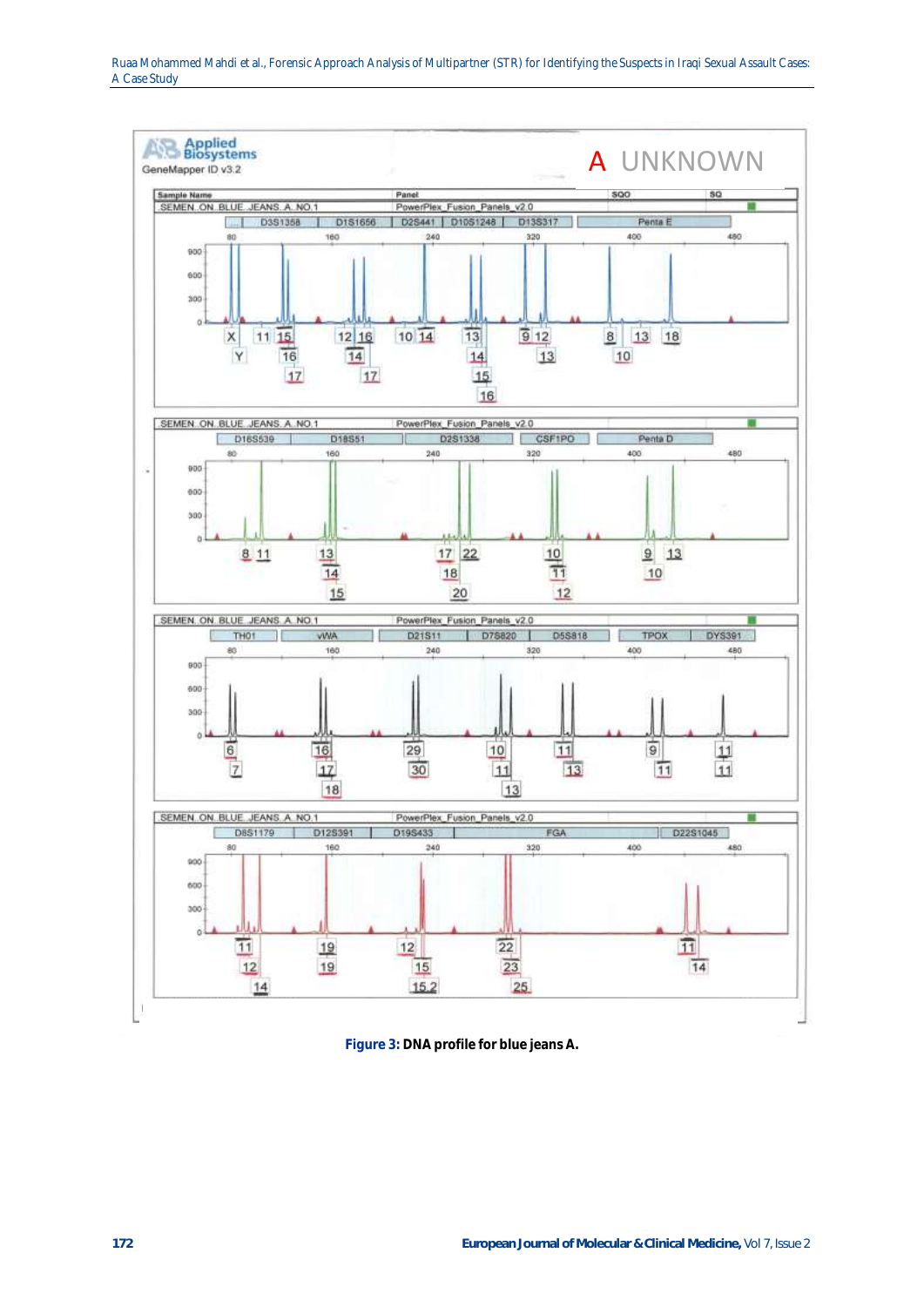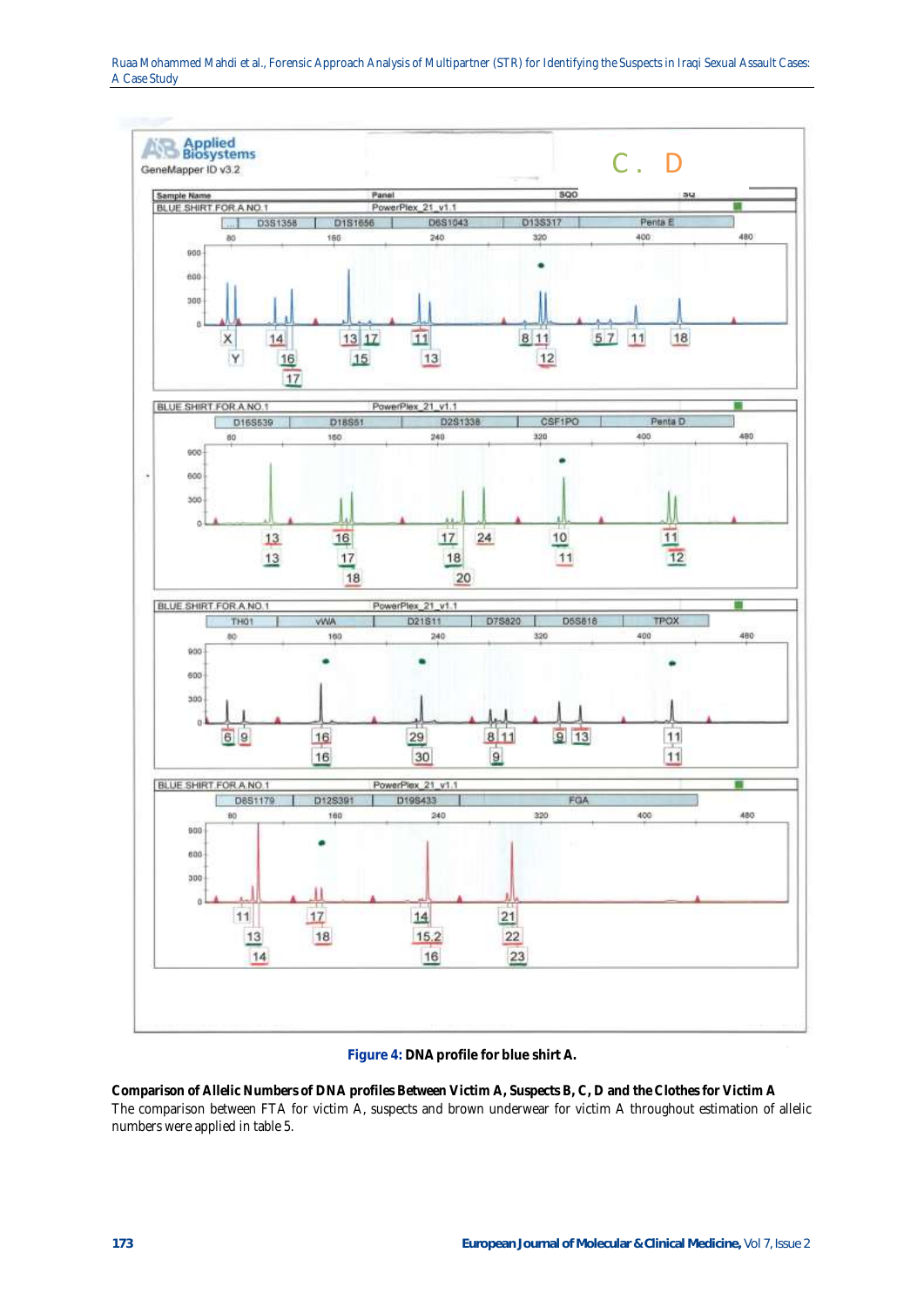

### **Figure 4: DNA profile for blue shirt A.**

**Comparison of Allelic Numbers of DNA profiles Between Victim A, Suspects B, C, D and the Clothes for Victim A** The comparison between FTA for victim A, suspects and brown underwear for victim A throughout estimation of allelic numbers were applied in table 5.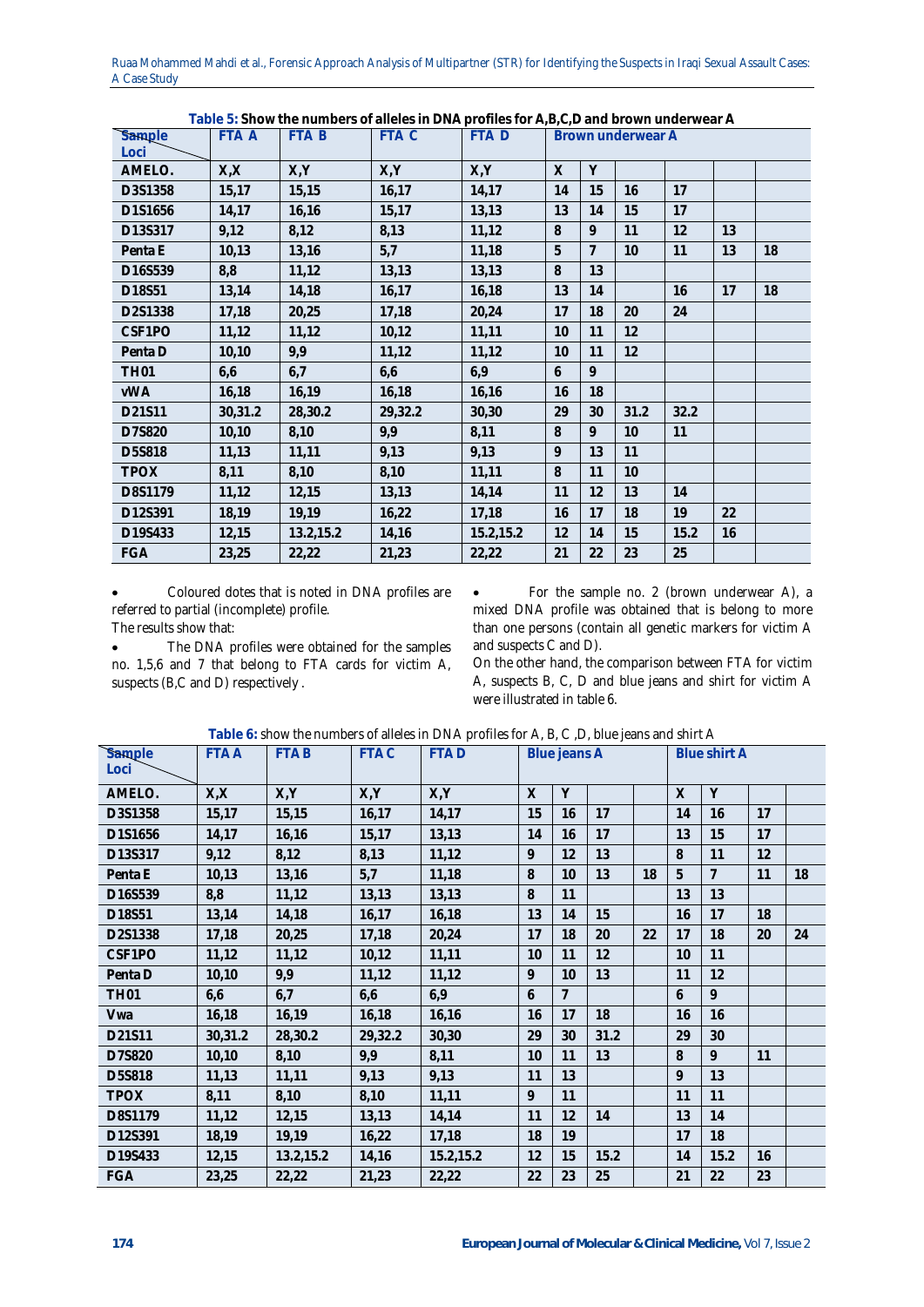| Sample<br>Loci | <b>FTA A</b> | FTA B     | FTA C   | FTA D     | Brown underwear A |    |      |      |    |    |
|----------------|--------------|-----------|---------|-----------|-------------------|----|------|------|----|----|
| AMELO.         | X, X         | X,Y       | X,Y     | X,Y       | $\times$          | Y  |      |      |    |    |
| D3S1358        | 15,17        | 15,15     | 16,17   | 14,17     | 14                | 15 | 16   | 17   |    |    |
| D1S1656        | 14,17        | 16,16     | 15,17   | 13,13     | 13                | 14 | 15   | 17   |    |    |
| D13S317        | 9,12         | 8,12      | 8,13    | 11,12     | 8                 | 9  | 11   | 12   | 13 |    |
| Penta E        | 10,13        | 13,16     | 5,7     | 11,18     | 5                 | 7  | 10   | 11   | 13 | 18 |
| D16S539        | 8,8          | 11,12     | 13,13   | 13,13     | 8                 | 13 |      |      |    |    |
| D18S51         | 13,14        | 14,18     | 16,17   | 16,18     | 13                | 14 |      | 16   | 17 | 18 |
| D2S1338        | 17,18        | 20,25     | 17,18   | 20,24     | 17                | 18 | 20   | 24   |    |    |
| CSF1PO         | 11,12        | 11,12     | 10, 12  | 11,11     | 10                | 11 | 12   |      |    |    |
| Penta D        | 10,10        | 9,9       | 11,12   | 11,12     | 10                | 11 | 12   |      |    |    |
| <b>TH01</b>    | 6,6          | 6,7       | 6,6     | 6,9       | 6                 | 9  |      |      |    |    |
| <b>VWA</b>     | 16,18        | 16,19     | 16,18   | 16,16     | 16                | 18 |      |      |    |    |
| D21S11         | 30,31.2      | 28,30.2   | 29,32.2 | 30,30     | 29                | 30 | 31.2 | 32.2 |    |    |
| D7S820         | 10,10        | 8,10      | 9,9     | 8,11      | 8                 | 9  | 10   | 11   |    |    |
| D5S818         | 11,13        | 11,11     | 9,13    | 9,13      | 9                 | 13 | 11   |      |    |    |
| <b>TPOX</b>    | 8,11         | 8,10      | 8,10    | 11,11     | 8                 | 11 | 10   |      |    |    |
| D8S1179        | 11,12        | 12,15     | 13,13   | 14,14     | 11                | 12 | 13   | 14   |    |    |
| D12S391        | 18,19        | 19,19     | 16,22   | 17,18     | 16                | 17 | 18   | 19   | 22 |    |
| D19S433        | 12,15        | 13.2,15.2 | 14,16   | 15.2,15.2 | 12                | 14 | 15   | 15.2 | 16 |    |
| FGA            | 23,25        | 22,22     | 21,23   | 22,22     | 21                | 22 | 23   | 25   |    |    |

**Table 5: Show the numbers of alleles in DNA profiles for A,B,C,D and brown underwear A**

 Coloured dotes that is noted in DNA profiles are referred to partial (incomplete) profile. The results show that:

 The DNA profiles were obtained for the samples no. 1,5,6 and 7 that belong to FTA cards for victim A, suspects (B,C and D) respectively .

 For the sample no. 2 (brown underwear A), a mixed DNA profile was obtained that is belong to more than one persons (contain all genetic markers for victim A and suspects C and D).

On the other hand, the comparison between FTA for victim A, suspects B, C, D and blue jeans and shirt for victim A were illustrated in table 6.

| Sample<br>Loci | <b>FTAA</b> | <b>FTAB</b> | <b>FTAC</b> | <b>FTAD</b> | Blue jeans A |                |      | <b>Blue shirt A</b> |              |                |    |    |
|----------------|-------------|-------------|-------------|-------------|--------------|----------------|------|---------------------|--------------|----------------|----|----|
| AMELO.         | X, X        | X, Y        | X,Y         | X, Y        | $\times$     | Y              |      |                     | $\times$     | Y              |    |    |
| D3S1358        | 15,17       | 15,15       | 16,17       | 14,17       | 15           | 16             | 17   |                     | 14           | 16             | 17 |    |
| D1S1656        | 14,17       | 16,16       | 15,17       | 13,13       | 14           | 16             | 17   |                     | 13           | 15             | 17 |    |
| D13S317        | 9,12        | 8,12        | 8,13        | 11,12       | 9            | 12             | 13   |                     | 8            | 11             | 12 |    |
| Penta E        | 10,13       | 13,16       | 5,7         | 11,18       | 8            | 10             | 13   | 18                  | 5            | $\overline{7}$ | 11 | 18 |
| D16S539        | 8,8         | 11,12       | 13,13       | 13,13       | 8            | 11             |      |                     | 13           | 13             |    |    |
| D18S51         | 13,14       | 14,18       | 16,17       | 16,18       | 13           | 14             | 15   |                     | 16           | 17             | 18 |    |
| D2S1338        | 17,18       | 20,25       | 17,18       | 20,24       | 17           | 18             | 20   | 22                  | 17           | 18             | 20 | 24 |
| CSF1PO         | 11,12       | 11,12       | 10,12       | 11,11       | 10           | 11             | 12   |                     | 10           | 11             |    |    |
| Penta D        | 10,10       | 9,9         | 11,12       | 11,12       | 9            | 10             | 13   |                     | 11           | 12             |    |    |
| <b>TH01</b>    | 6,6         | 6,7         | 6,6         | 6,9         | 6            | $\overline{7}$ |      |                     | 6            | 9              |    |    |
| Vwa            | 16,18       | 16,19       | 16,18       | 16,16       | 16           | 17             | 18   |                     | 16           | 16             |    |    |
| D21S11         | 30,31.2     | 28,30.2     | 29,32.2     | 30,30       | 29           | 30             | 31.2 |                     | 29           | 30             |    |    |
| D7S820         | 10,10       | 8,10        | 9,9         | 8,11        | 10           | 11             | 13   |                     | 8            | 9              | 11 |    |
| D5S818         | 11,13       | 11,11       | 9,13        | 9,13        | 11           | 13             |      |                     | $\mathsf{Q}$ | 13             |    |    |
| <b>TPOX</b>    | 8,11        | 8,10        | 8,10        | 11,11       | 9            | 11             |      |                     | 11           | 11             |    |    |
| D8S1179        | 11,12       | 12,15       | 13,13       | 14,14       | 11           | 12             | 14   |                     | 13           | 14             |    |    |
| D12S391        | 18,19       | 19,19       | 16,22       | 17,18       | 18           | 19             |      |                     | 17           | 18             |    |    |
| D19S433        | 12,15       | 13.2,15.2   | 14,16       | 15.2,15.2   | 12           | 15             | 15.2 |                     | 14           | 15.2           | 16 |    |
| FGA            | 23,25       | 22,22       | 21,23       | 22,22       | 22           | 23             | 25   |                     | 21           | 22             | 23 |    |

**Table 6:** show the numbers of alleles in DNA profiles for A, B, C ,D, blue jeans and shirt A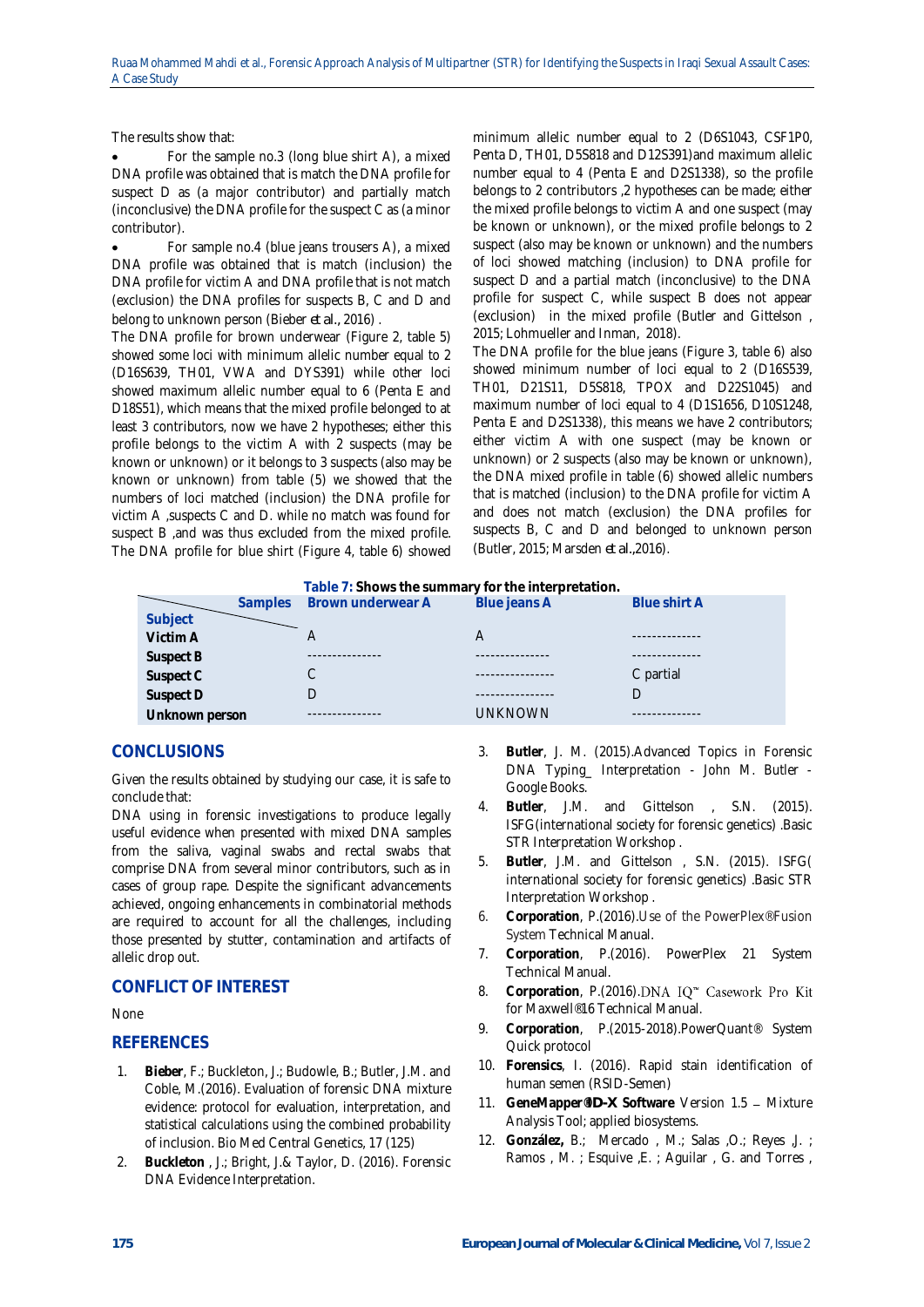The results show that:

 For the sample no.3 (long blue shirt A), a mixed DNA profile was obtained that is match the DNA profile for suspect D as (a major contributor) and partially match (inconclusive) the DNA profile for the suspect C as (a minor contributor).

 For sample no.4 (blue jeans trousers A), a mixed DNA profile was obtained that is match (inclusion) the DNA profile for victim A and DNA profile that is not match (exclusion) the DNA profiles for suspects B, C and D and belong to unknown person (Bieber *et al.,* 2016) .

The DNA profile for brown underwear (Figure 2, table 5) showed some loci with minimum allelic number equal to 2 (D16S639, TH01, VWA and DYS391) while other loci showed maximum allelic number equal to 6 (Penta E and D18S51), which means that the mixed profile belonged to at least 3 contributors, now we have 2 hypotheses; either this profile belongs to the victim A with 2 suspects (may be known or unknown) or it belongs to 3 suspects (also may be known or unknown) from table (5) we showed that the numbers of loci matched (inclusion) the DNA profile for victim A ,suspects C and D. while no match was found for suspect B ,and was thus excluded from the mixed profile. The DNA profile for blue shirt (Figure 4, table 6) showed

minimum allelic number equal to 2 (D6S1043, CSF1P0, Penta D, TH01, D5S818 and D12S391)and maximum allelic number equal to 4 (Penta E and D2S1338), so the profile belongs to 2 contributors ,2 hypotheses can be made; either the mixed profile belongs to victim A and one suspect (may be known or unknown), or the mixed profile belongs to 2 suspect (also may be known or unknown) and the numbers of loci showed matching (inclusion) to DNA profile for suspect D and a partial match (inconclusive) to the DNA profile for suspect C, while suspect B does not appear (exclusion) in the mixed profile (Butler and Gittelson , 2015; Lohmueller and Inman, 2018).

The DNA profile for the blue jeans (Figure 3, table 6) also showed minimum number of loci equal to 2 (D16S539, TH01, D21S11, D5S818, TPOX and D22S1045) and maximum number of loci equal to 4 (D1S1656, D10S1248, Penta E and D2S1338), this means we have 2 contributors; either victim A with one suspect (may be known or unknown) or 2 suspects (also may be known or unknown), the DNA mixed profile in table (6) showed allelic numbers that is matched (inclusion) to the DNA profile for victim A and does not match (exclusion) the DNA profiles for suspects B, C and D and belonged to unknown person (Butler, 2015; Marsden *et al.,*2016).

| Table 7: Shows the summary for the interpretation. |                |                   |                     |  |  |  |  |
|----------------------------------------------------|----------------|-------------------|---------------------|--|--|--|--|
| <b>Samples</b>                                     |                | Blue jeans A      | <b>Blue shirt A</b> |  |  |  |  |
|                                                    |                |                   |                     |  |  |  |  |
|                                                    |                | A                 |                     |  |  |  |  |
|                                                    |                |                   |                     |  |  |  |  |
|                                                    |                |                   | C partial           |  |  |  |  |
|                                                    |                |                   |                     |  |  |  |  |
|                                                    |                | <b>UNKNOWN</b>    |                     |  |  |  |  |
|                                                    | Unknown person | Brown underwear A |                     |  |  |  |  |

## **CONCLUSIONS**

Given the results obtained by studying our case, it is safe to conclude that:

DNA using in forensic investigations to produce legally useful evidence when presented with mixed DNA samples from the saliva, vaginal swabs and rectal swabs that comprise DNA from several minor contributors, such as in cases of group rape. Despite the significant advancements achieved, ongoing enhancements in combinatorial methods are required to account for all the challenges, including those presented by stutter, contamination and artifacts of allelic drop out.

## **CONFLICT OF INTEREST**

### None

## **REFERENCES**

- 1. **Bieber**, F.; Buckleton, J.; Budowle, B.; Butler, J.M. and Coble, M.(2016). Evaluation of forensic DNA mixture evidence: protocol for evaluation, interpretation, and statistical calculations using the combined probability of inclusion. Bio Med Central Genetics, 17 (125)
- 2. **Buckleton** , J.; Bright, J.& Taylor, D. (2016). Forensic DNA Evidence Interpretation.
- 3. **Butler**, J. M. (2015).Advanced Topics in Forensic DNA Typing\_ Interpretation - John M. Butler - Google Books.
- 4. **Butler**, J.M. and Gittelson , S.N. (2015). ISFG(international society for forensic genetics) .Basic STR Interpretation Workshop .
- 5. **Butler**, J.M. and Gittelson , S.N. (2015). ISFG( international society for forensic genetics) .Basic STR Interpretation Workshop .
- 6. **Corporation**, P.(2016).Use of the PowerPlex® Fusion System Technical Manual.
- 7. **Corporation**, P.(2016). PowerPlex 21 System Technical Manual.
- 8. Corporation, P.(2016).DNA IQ<sup>\*</sup> Casework Pro Kit for Maxwell® 16 Technical Manual.
- 9. **Corporation**, P.(2015-2018).PowerQuant® System Quick protocol
- 10. **Forensics**, I. (2016). Rapid stain identification of human semen (RSID-Semen)
- 11. GeneMapper®*ID-X* Software Version 1.5 Mixture Analysis Tool; applied biosystems.
- 12. **González,** B.; Mercado , M.; Salas ,O.; Reyes ,J. ; Ramos, M.; Esquive, E.; Aguilar, G. and Torres,